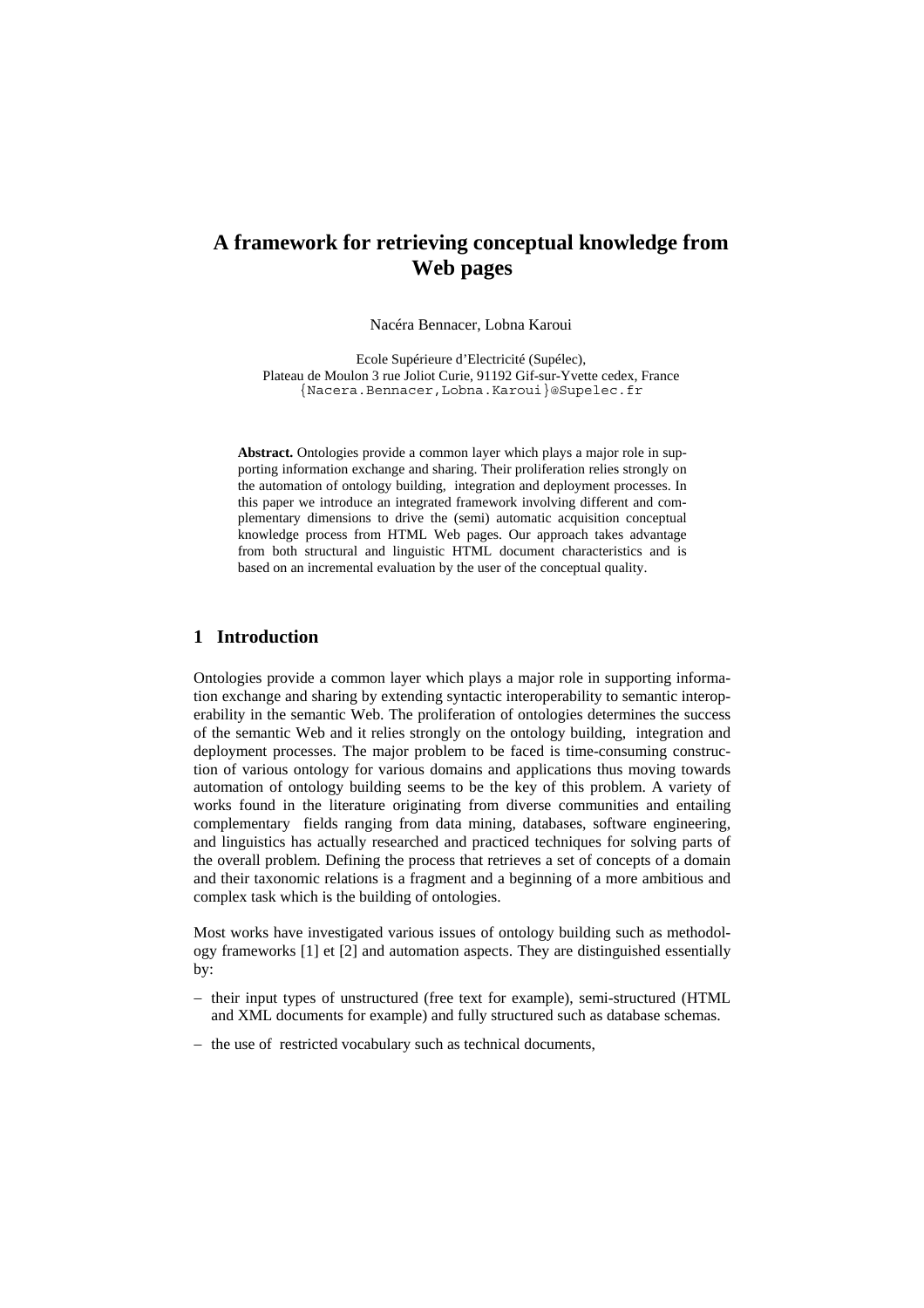# **A framework for retrieving conceptual knowledge from Web pages**

Nacéra Bennacer, Lobna Karoui

Ecole Supérieure d'Electricité (Supélec), Plateau de Moulon 3 rue Joliot Curie, 91192 Gif-sur-Yvette cedex, France {Nacera.Bennacer,Lobna.Karoui}@Supelec.fr

**Abstract.** Ontologies provide a common layer which plays a major role in supporting information exchange and sharing. Their proliferation relies strongly on the automation of ontology building, integration and deployment processes. In this paper we introduce an integrated framework involving different and complementary dimensions to drive the (semi) automatic acquisition conceptual knowledge process from HTML Web pages. Our approach takes advantage from both structural and linguistic HTML document characteristics and is based on an incremental evaluation by the user of the conceptual quality.

## **1 Introduction**

Ontologies provide a common layer which plays a major role in supporting information exchange and sharing by extending syntactic interoperability to semantic interoperability in the semantic Web. The proliferation of ontologies determines the success of the semantic Web and it relies strongly on the ontology building, integration and deployment processes. The major problem to be faced is time-consuming construction of various ontology for various domains and applications thus moving towards automation of ontology building seems to be the key of this problem. A variety of works found in the literature originating from diverse communities and entailing complementary fields ranging from data mining, databases, software engineering, and linguistics has actually researched and practiced techniques for solving parts of the overall problem. Defining the process that retrieves a set of concepts of a domain and their taxonomic relations is a fragment and a beginning of a more ambitious and complex task which is the building of ontologies.

Most works have investigated various issues of ontology building such as methodology frameworks [1] et [2] and automation aspects. They are distinguished essentially by:

- − their input types of unstructured (free text for example), semi-structured (HTML and XML documents for example) and fully structured such as database schemas.
- − the use of restricted vocabulary such as technical documents,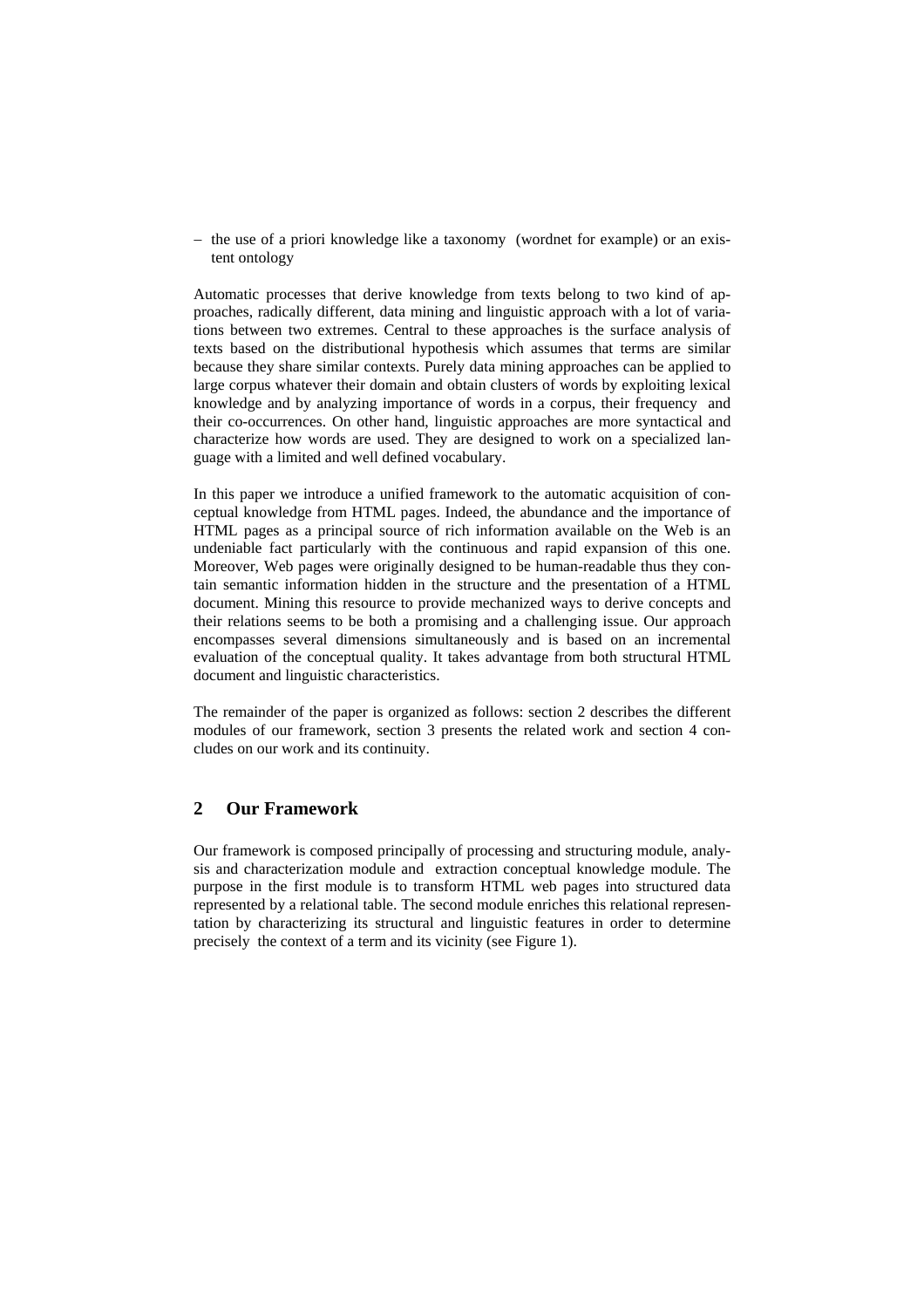− the use of a priori knowledge like a taxonomy (wordnet for example) or an existent ontology

Automatic processes that derive knowledge from texts belong to two kind of approaches, radically different, data mining and linguistic approach with a lot of variations between two extremes. Central to these approaches is the surface analysis of texts based on the distributional hypothesis which assumes that terms are similar because they share similar contexts. Purely data mining approaches can be applied to large corpus whatever their domain and obtain clusters of words by exploiting lexical knowledge and by analyzing importance of words in a corpus, their frequency and their co-occurrences. On other hand, linguistic approaches are more syntactical and characterize how words are used. They are designed to work on a specialized language with a limited and well defined vocabulary.

In this paper we introduce a unified framework to the automatic acquisition of conceptual knowledge from HTML pages. Indeed, the abundance and the importance of HTML pages as a principal source of rich information available on the Web is an undeniable fact particularly with the continuous and rapid expansion of this one. Moreover, Web pages were originally designed to be human-readable thus they contain semantic information hidden in the structure and the presentation of a HTML document. Mining this resource to provide mechanized ways to derive concepts and their relations seems to be both a promising and a challenging issue. Our approach encompasses several dimensions simultaneously and is based on an incremental evaluation of the conceptual quality. It takes advantage from both structural HTML document and linguistic characteristics.

The remainder of the paper is organized as follows: section 2 describes the different modules of our framework, section 3 presents the related work and section 4 concludes on our work and its continuity.

## **2 Our Framework**

Our framework is composed principally of processing and structuring module, analysis and characterization module and extraction conceptual knowledge module. The purpose in the first module is to transform HTML web pages into structured data represented by a relational table. The second module enriches this relational representation by characterizing its structural and linguistic features in order to determine precisely the context of a term and its vicinity (see Figure 1).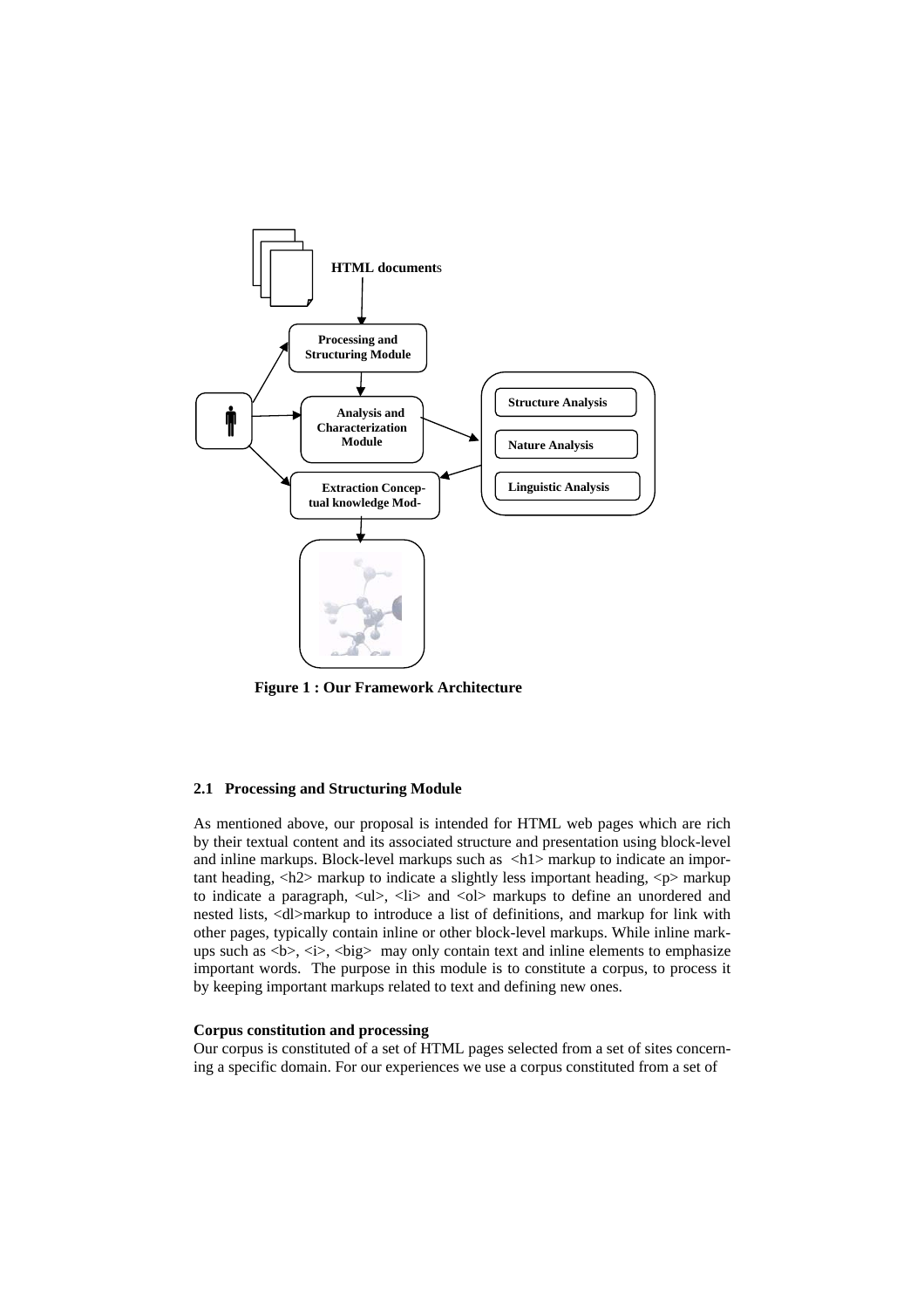

**Figure 1 : Our Framework Architecture** 

### **2.1 Processing and Structuring Module**

As mentioned above, our proposal is intended for HTML web pages which are rich by their textual content and its associated structure and presentation using block-level and inline markups. Block-level markups such as  $\langle h1 \rangle$  markup to indicate an important heading,  $\langle h2 \rangle$  markup to indicate a slightly less important heading,  $\langle p \rangle$  markup to indicate a paragraph,  $\langle ul \rangle$ ,  $\langle$ li $>$  and  $\langle ol \rangle$  markups to define an unordered and nested lists, <dl>markup to introduce a list of definitions, and markup for link with other pages, typically contain inline or other block-level markups. While inline markups such as  **may only contain text and inline elements to emphasize** important words. The purpose in this module is to constitute a corpus, to process it by keeping important markups related to text and defining new ones.

## **Corpus constitution and processing**

Our corpus is constituted of a set of HTML pages selected from a set of sites concerning a specific domain. For our experiences we use a corpus constituted from a set of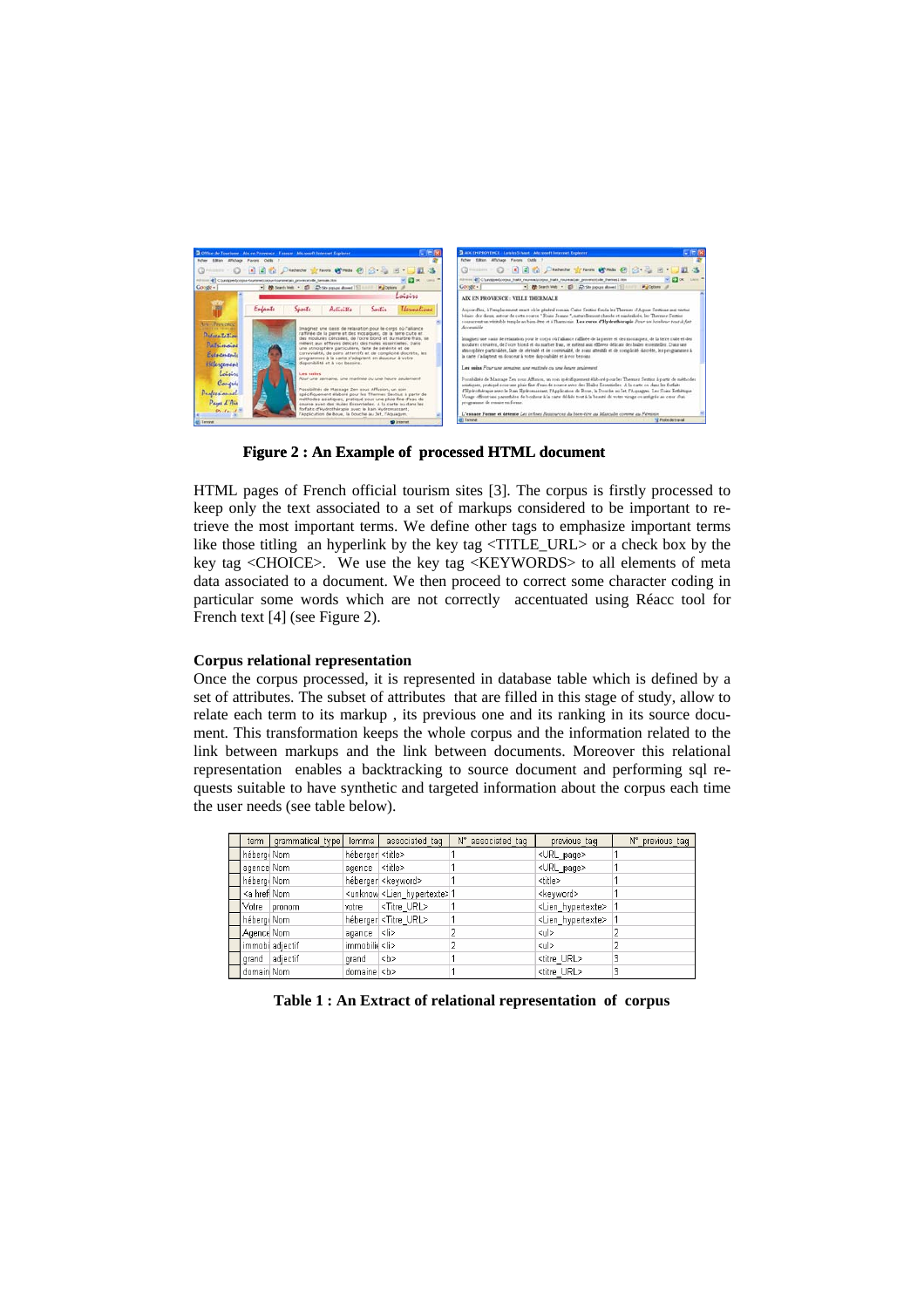

**Figure 2 : An Example of processed HTML document** 

HTML pages of French official tourism sites [3]. The corpus is firstly processed to keep only the text associated to a set of markups considered to be important to retrieve the most important terms. We define other tags to emphasize important terms like those titling an hyperlink by the key tag <TITLE\_URL> or a check box by the key tag <CHOICE>. We use the key tag <KEYWORDS> to all elements of meta data associated to a document. We then proceed to correct some character coding in particular some words which are not correctly accentuated using Réacc tool for French text [4] (see Figure 2).

#### **Corpus relational representation**

Once the corpus processed, it is represented in database table which is defined by a set of attributes. The subset of attributes that are filled in this stage of study, allow to relate each term to its markup , its previous one and its ranking in its source document. This transformation keeps the whole corpus and the information related to the link between markups and the link between documents. Moreover this relational representation enables a backtracking to source document and performing sql requests suitable to have synthetic and targeted information about the corpus each time the user needs (see table below).

| term                                                                                                                                             | grammatical type | lemma                    | associated tag                             | N° associated tag | previous_tag                | N° previous tag |
|--------------------------------------------------------------------------------------------------------------------------------------------------|------------------|--------------------------|--------------------------------------------|-------------------|-----------------------------|-----------------|
| hébergi Nom                                                                                                                                      |                  | héberger <title></title> |                                            |                   | <url page=""></url>         |                 |
| agence Nom                                                                                                                                       |                  | agence <title></title>   |                                            |                   | <url_page></url_page>       |                 |
| hébergi Nom                                                                                                                                      |                  |                          | héberger <keyword></keyword>               |                   | <title></title>             |                 |
| <a href="" nom<="" th=""><th></th><th></th><th><unknow <lien="" hypertexte=""> 1</unknow></th><th></th><th><keyword></keyword></th><th></th></a> |                  |                          | <unknow <lien="" hypertexte=""> 1</unknow> |                   | <keyword></keyword>         |                 |
|                                                                                                                                                  | Votre pronom     | votre                    | <titre url=""></titre>                     |                   | <lien hypertexte=""></lien> |                 |
| hébergi Nom                                                                                                                                      |                  |                          | héberger <titre url=""></titre>            |                   | <lien hypertexte=""></lien> |                 |
| Agence Nom                                                                                                                                       |                  | agance <li></li>         |                                            |                   | ≺ul>                        |                 |
|                                                                                                                                                  | immobi adjectif  | immobilid <li></li>      |                                            |                   | <ul></ul>                   |                 |
|                                                                                                                                                  | grand adjectif   | grand                    | l <b></b>                                  |                   | <titre url=""></titre>      |                 |
| domain Nom                                                                                                                                       |                  | domaine <b></b>          |                                            |                   | <titre url=""></titre>      |                 |

**Table 1 : An Extract of relational representation of corpus**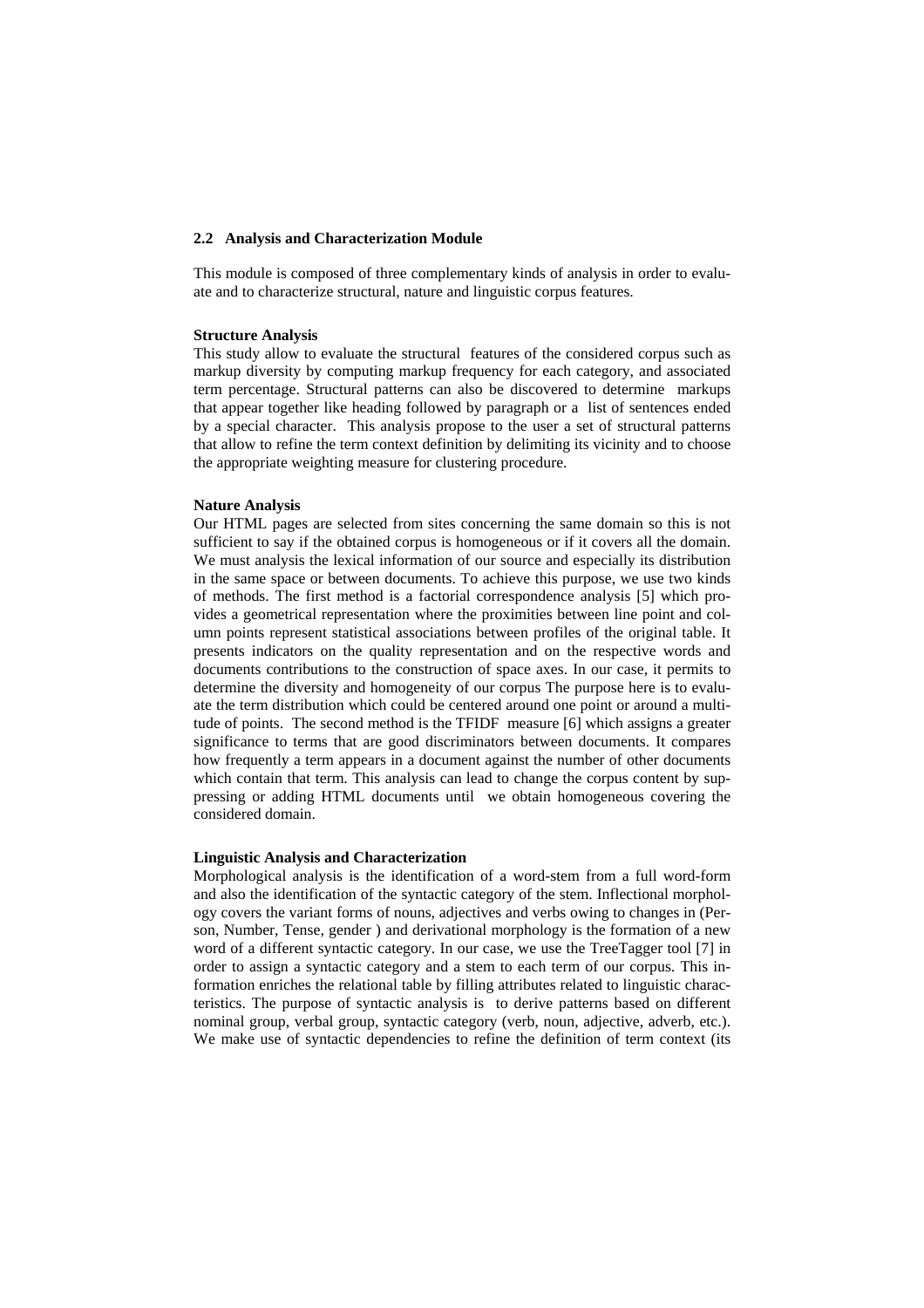#### **2.2 Analysis and Characterization Module**

This module is composed of three complementary kinds of analysis in order to evaluate and to characterize structural, nature and linguistic corpus features.

#### **Structure Analysis**

This study allow to evaluate the structural features of the considered corpus such as markup diversity by computing markup frequency for each category, and associated term percentage. Structural patterns can also be discovered to determine markups that appear together like heading followed by paragraph or a list of sentences ended by a special character. This analysis propose to the user a set of structural patterns that allow to refine the term context definition by delimiting its vicinity and to choose the appropriate weighting measure for clustering procedure.

### **Nature Analysis**

Our HTML pages are selected from sites concerning the same domain so this is not sufficient to say if the obtained corpus is homogeneous or if it covers all the domain. We must analysis the lexical information of our source and especially its distribution in the same space or between documents. To achieve this purpose, we use two kinds of methods. The first method is a factorial correspondence analysis [5] which provides a geometrical representation where the proximities between line point and column points represent statistical associations between profiles of the original table. It presents indicators on the quality representation and on the respective words and documents contributions to the construction of space axes. In our case, it permits to determine the diversity and homogeneity of our corpus The purpose here is to evaluate the term distribution which could be centered around one point or around a multitude of points. The second method is the TFIDF measure [6] which assigns a greater significance to terms that are good discriminators between documents. It compares how frequently a term appears in a document against the number of other documents which contain that term. This analysis can lead to change the corpus content by suppressing or adding HTML documents until we obtain homogeneous covering the considered domain.

#### **Linguistic Analysis and Characterization**

Morphological analysis is the identification of a word-stem from a full word-form and also the identification of the syntactic category of the stem. Inflectional morphology covers the variant forms of nouns, adjectives and verbs owing to changes in (Person, Number, Tense, gender ) and derivational morphology is the formation of a new word of a different syntactic category. In our case, we use the TreeTagger tool [7] in order to assign a syntactic category and a stem to each term of our corpus. This information enriches the relational table by filling attributes related to linguistic characteristics. The purpose of syntactic analysis is to derive patterns based on different nominal group, verbal group, syntactic category (verb, noun, adjective, adverb, etc.). We make use of syntactic dependencies to refine the definition of term context (its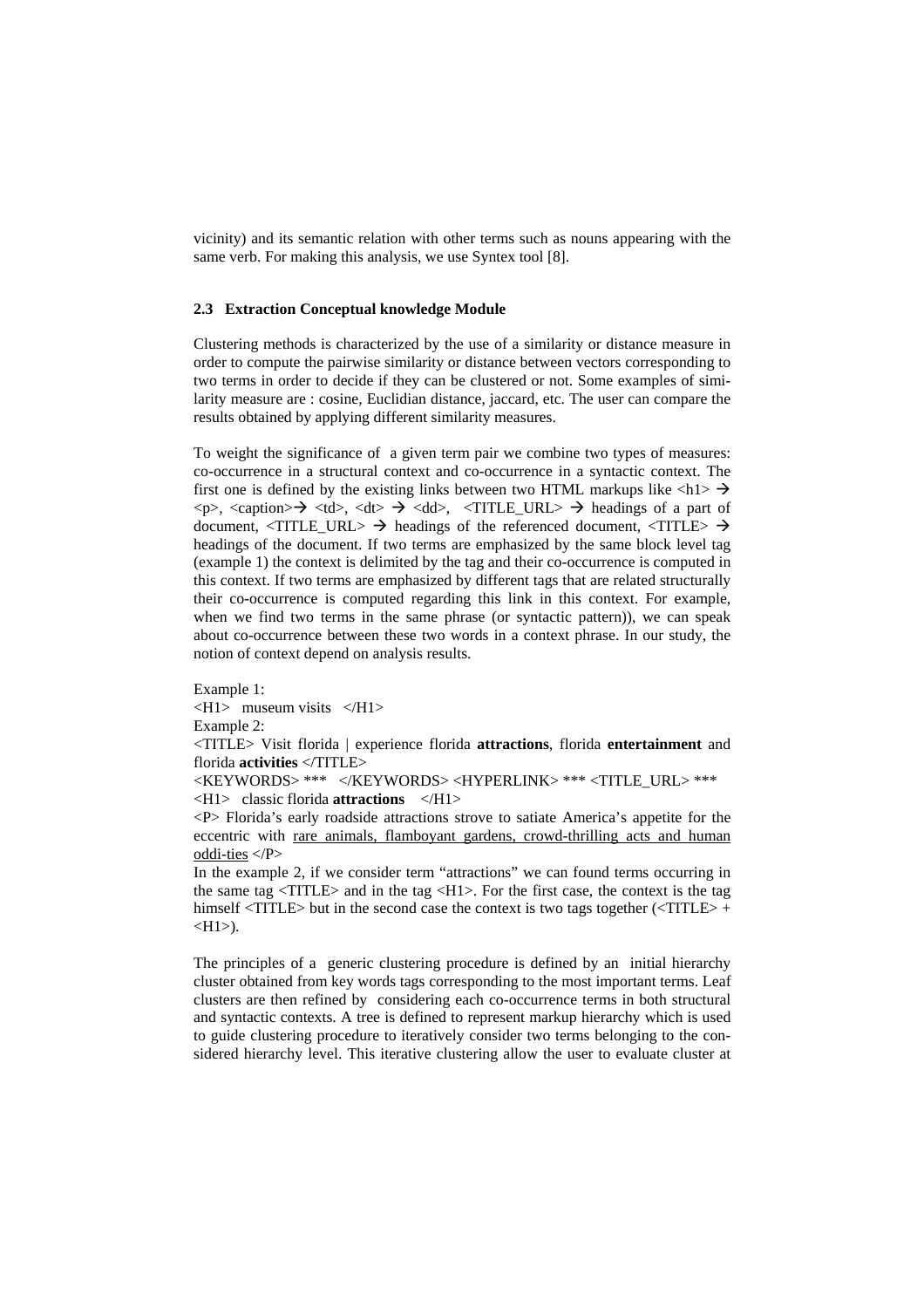vicinity) and its semantic relation with other terms such as nouns appearing with the same verb. For making this analysis, we use Syntex tool [8].

### **2.3 Extraction Conceptual knowledge Module**

Clustering methods is characterized by the use of a similarity or distance measure in order to compute the pairwise similarity or distance between vectors corresponding to two terms in order to decide if they can be clustered or not. Some examples of similarity measure are : cosine, Euclidian distance, jaccard, etc. The user can compare the results obtained by applying different similarity measures.

To weight the significance of a given term pair we combine two types of measures: co-occurrence in a structural context and co-occurrence in a syntactic context. The first one is defined by the existing links between two HTML markups like  $\langle h1 \rangle \rightarrow$  $\langle p \rangle$ ,  $\langle$ caption $\rangle \rightarrow \langle d \rangle$ ,  $\langle d \rangle \rightarrow \langle dd \rangle$ ,  $\langle TITLE_URL \rangle \rightarrow$  headings of a part of document,  $\langle TITLE_URL \rangle \rightarrow$  headings of the referenced document,  $\langle TITLE \rangle \rightarrow$ headings of the document. If two terms are emphasized by the same block level tag (example 1) the context is delimited by the tag and their co-occurrence is computed in this context. If two terms are emphasized by different tags that are related structurally their co-occurrence is computed regarding this link in this context. For example, when we find two terms in the same phrase (or syntactic pattern)), we can speak about co-occurrence between these two words in a context phrase. In our study, the notion of context depend on analysis results.

Example 1: <H1> museum visits </H1> Example 2: <TITLE> Visit florida | experience florida **attractions**, florida **entertainment** and florida **activities** </TITLE> <KEYWORDS> \*\*\* </KEYWORDS> <HYPERLINK> \*\*\* <TITLE\_URL> \*\*\* <H1> classic florida **attractions** </H1>

<P> Florida's early roadside attractions strove to satiate America's appetite for the eccentric with rare animals, flamboyant gardens, crowd-thrilling acts and human oddi-ties </P>

In the example 2, if we consider term "attractions" we can found terms occurring in the same tag  $\langle TITLE \rangle$  and in the tag  $\langle HI \rangle$ . For the first case, the context is the tag himself <TITLE> but in the second case the context is two tags together (<TITLE> +  $\langle H1 \rangle$ ).

The principles of a generic clustering procedure is defined by an initial hierarchy cluster obtained from key words tags corresponding to the most important terms. Leaf clusters are then refined by considering each co-occurrence terms in both structural and syntactic contexts. A tree is defined to represent markup hierarchy which is used to guide clustering procedure to iteratively consider two terms belonging to the considered hierarchy level. This iterative clustering allow the user to evaluate cluster at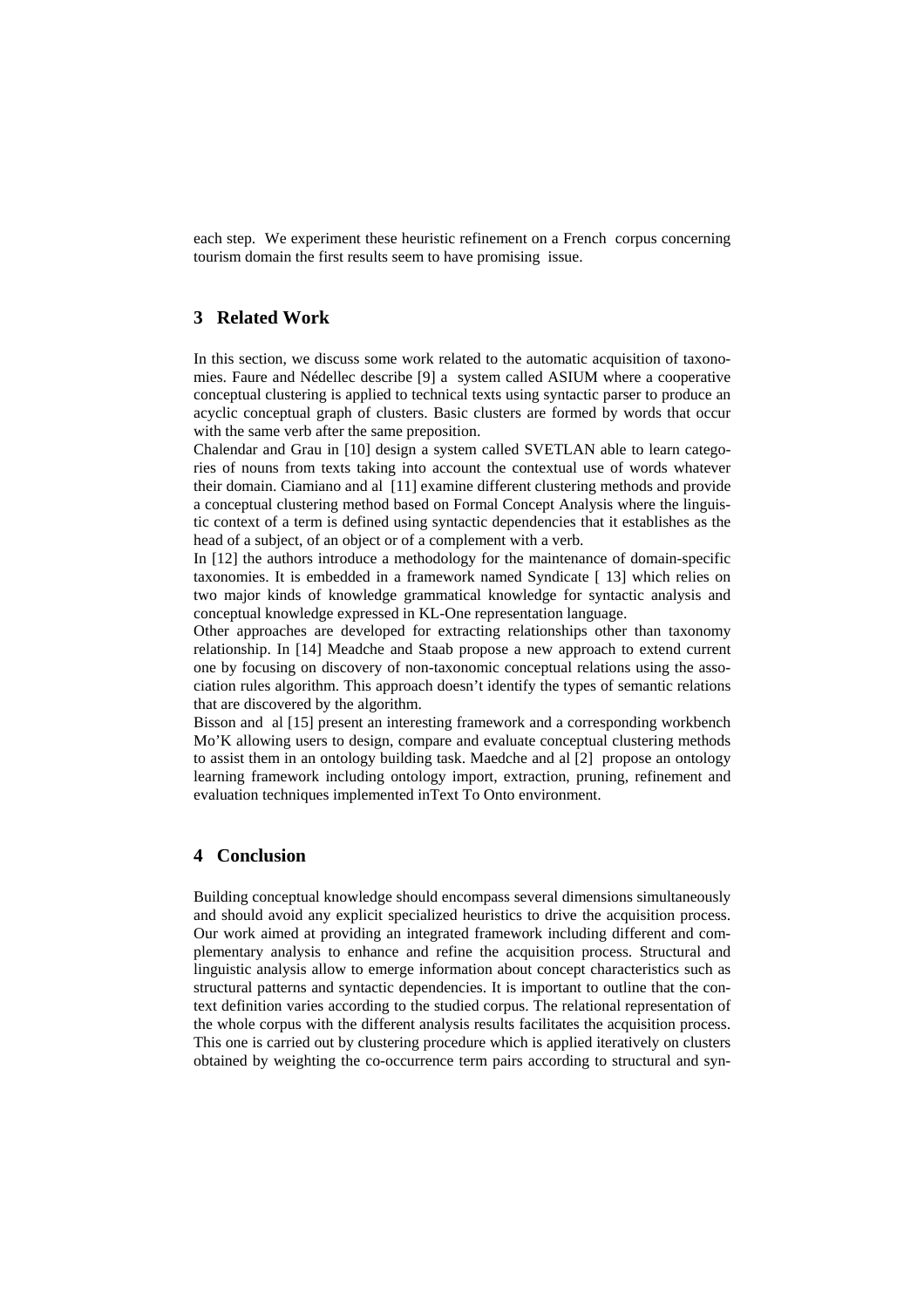each step. We experiment these heuristic refinement on a French corpus concerning tourism domain the first results seem to have promising issue.

## **3 Related Work**

In this section, we discuss some work related to the automatic acquisition of taxonomies. Faure and Nédellec describe [9] a system called ASIUM where a cooperative conceptual clustering is applied to technical texts using syntactic parser to produce an acyclic conceptual graph of clusters. Basic clusters are formed by words that occur with the same verb after the same preposition.

Chalendar and Grau in [10] design a system called SVETLAN able to learn categories of nouns from texts taking into account the contextual use of words whatever their domain. Ciamiano and al [11] examine different clustering methods and provide a conceptual clustering method based on Formal Concept Analysis where the linguistic context of a term is defined using syntactic dependencies that it establishes as the head of a subject, of an object or of a complement with a verb.

In [12] the authors introduce a methodology for the maintenance of domain-specific taxonomies. It is embedded in a framework named Syndicate [ 13] which relies on two major kinds of knowledge grammatical knowledge for syntactic analysis and conceptual knowledge expressed in KL-One representation language.

Other approaches are developed for extracting relationships other than taxonomy relationship. In [14] Meadche and Staab propose a new approach to extend current one by focusing on discovery of non-taxonomic conceptual relations using the association rules algorithm. This approach doesn't identify the types of semantic relations that are discovered by the algorithm.

Bisson and al [15] present an interesting framework and a corresponding workbench Mo'K allowing users to design, compare and evaluate conceptual clustering methods to assist them in an ontology building task. Maedche and al [2] propose an ontology learning framework including ontology import, extraction, pruning, refinement and evaluation techniques implemented inText To Onto environment.

## **4 Conclusion**

Building conceptual knowledge should encompass several dimensions simultaneously and should avoid any explicit specialized heuristics to drive the acquisition process. Our work aimed at providing an integrated framework including different and complementary analysis to enhance and refine the acquisition process. Structural and linguistic analysis allow to emerge information about concept characteristics such as structural patterns and syntactic dependencies. It is important to outline that the context definition varies according to the studied corpus. The relational representation of the whole corpus with the different analysis results facilitates the acquisition process. This one is carried out by clustering procedure which is applied iteratively on clusters obtained by weighting the co-occurrence term pairs according to structural and syn-